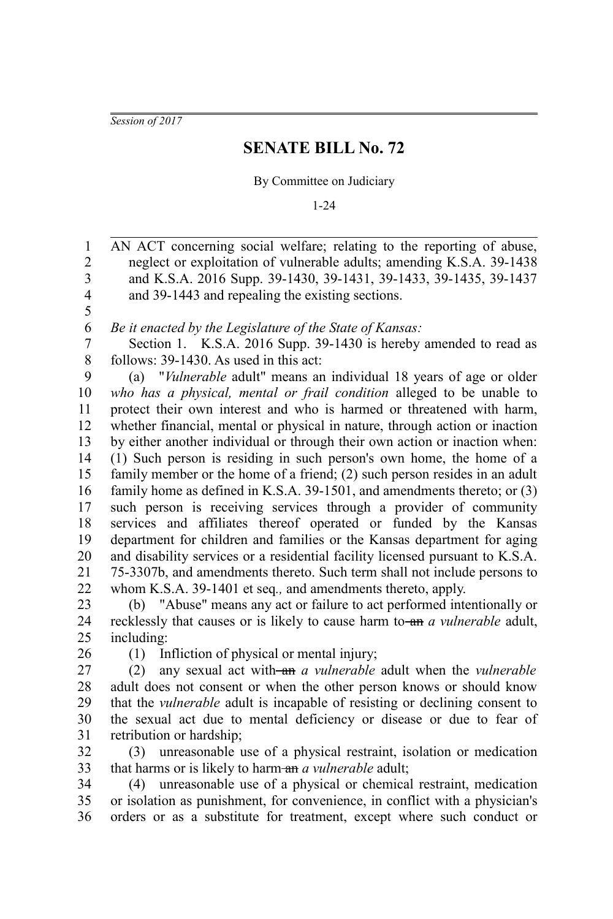*Session of 2017*

## **SENATE BILL No. 72**

By Committee on Judiciary

1-24

AN ACT concerning social welfare; relating to the reporting of abuse, neglect or exploitation of vulnerable adults; amending K.S.A. 39-1438 and K.S.A. 2016 Supp. 39-1430, 39-1431, 39-1433, 39-1435, 39-1437 and 39-1443 and repealing the existing sections. *Be it enacted by the Legislature of the State of Kansas:* Section 1. K.S.A. 2016 Supp. 39-1430 is hereby amended to read as follows: 39-1430. As used in this act: (a) "*Vulnerable* adult" means an individual 18 years of age or older *who has a physical, mental or frail condition* alleged to be unable to protect their own interest and who is harmed or threatened with harm, whether financial, mental or physical in nature, through action or inaction by either another individual or through their own action or inaction when: (1) Such person is residing in such person's own home, the home of a family member or the home of a friend; (2) such person resides in an adult family home as defined in K.S.A. 39-1501, and amendments thereto; or (3) such person is receiving services through a provider of community services and affiliates thereof operated or funded by the Kansas department for children and families or the Kansas department for aging and disability services or a residential facility licensed pursuant to K.S.A. 75-3307b, and amendments thereto. Such term shall not include persons to whom K.S.A. 39-1401 et seq*.,* and amendments thereto, apply. (b) "Abuse" means any act or failure to act performed intentionally or recklessly that causes or is likely to cause harm to an *a vulnerable* adult, 1 2 3 4 5 6 7 8 9 10 11 12 13 14 15 16 17 18 19 20 21 22 23 24

including: 25

26

(1) Infliction of physical or mental injury;

(2) any sexual act with an *a vulnerable* adult when the *vulnerable* adult does not consent or when the other person knows or should know that the *vulnerable* adult is incapable of resisting or declining consent to the sexual act due to mental deficiency or disease or due to fear of retribution or hardship; 27 28 29 30 31

(3) unreasonable use of a physical restraint, isolation or medication that harms or is likely to harm-an *a vulnerable* adult; 32 33

(4) unreasonable use of a physical or chemical restraint, medication or isolation as punishment, for convenience, in conflict with a physician's orders or as a substitute for treatment, except where such conduct or 34 35 36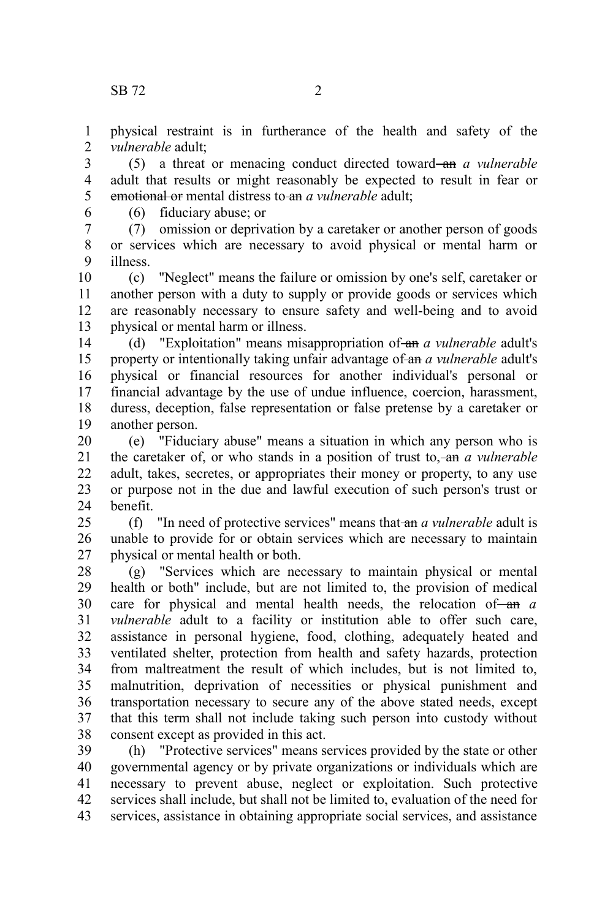physical restraint is in furtherance of the health and safety of the *vulnerable* adult; 1  $\mathcal{L}$ 

(5) a threat or menacing conduct directed toward and *a vulnerable* adult that results or might reasonably be expected to result in fear or emotional or mental distress to an *a vulnerable* adult; 3 4 5

6

(6) fiduciary abuse; or

(7) omission or deprivation by a caretaker or another person of goods or services which are necessary to avoid physical or mental harm or illness. 7 8 9

(c) "Neglect" means the failure or omission by one's self, caretaker or another person with a duty to supply or provide goods or services which are reasonably necessary to ensure safety and well-being and to avoid physical or mental harm or illness. 10 11 12 13

(d) "Exploitation" means misappropriation of an *a vulnerable* adult's property or intentionally taking unfair advantage of an *a vulnerable* adult's physical or financial resources for another individual's personal or financial advantage by the use of undue influence, coercion, harassment, duress, deception, false representation or false pretense by a caretaker or another person. 14 15 16 17 18 19

(e) "Fiduciary abuse" means a situation in which any person who is the caretaker of, or who stands in a position of trust to, an *a vulnerable* adult, takes, secretes, or appropriates their money or property, to any use or purpose not in the due and lawful execution of such person's trust or benefit. 20 21 22 23 24

(f) "In need of protective services" means that an *a vulnerable* adult is unable to provide for or obtain services which are necessary to maintain physical or mental health or both.  $25$ 26 27

(g) "Services which are necessary to maintain physical or mental health or both" include, but are not limited to, the provision of medical care for physical and mental health needs, the relocation of an a *vulnerable* adult to a facility or institution able to offer such care, assistance in personal hygiene, food, clothing, adequately heated and ventilated shelter, protection from health and safety hazards, protection from maltreatment the result of which includes, but is not limited to, malnutrition, deprivation of necessities or physical punishment and transportation necessary to secure any of the above stated needs, except that this term shall not include taking such person into custody without consent except as provided in this act. 28 29 30 31 32 33 34 35 36 37 38

(h) "Protective services" means services provided by the state or other governmental agency or by private organizations or individuals which are necessary to prevent abuse, neglect or exploitation. Such protective services shall include, but shall not be limited to, evaluation of the need for services, assistance in obtaining appropriate social services, and assistance 39 40 41 42 43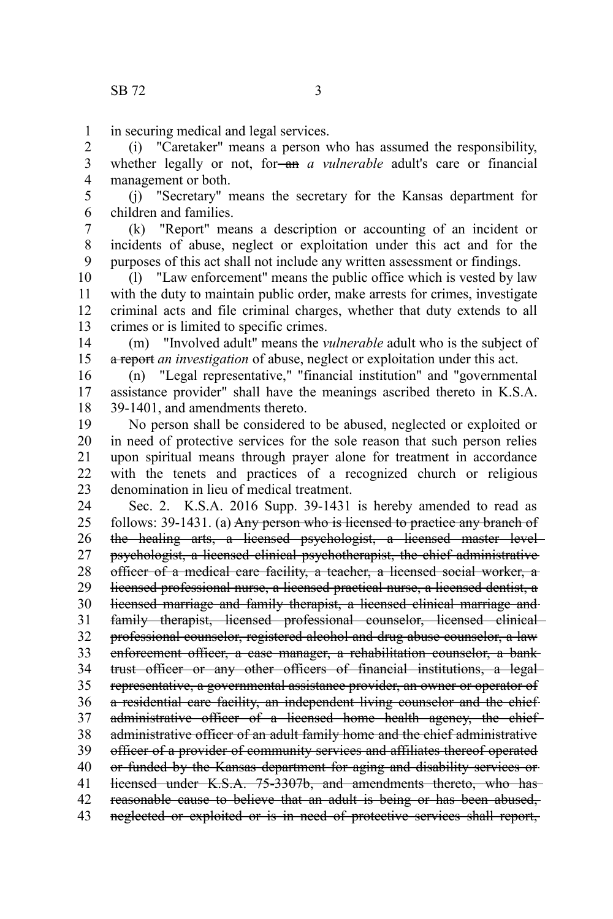in securing medical and legal services. 1

(i) "Caretaker" means a person who has assumed the responsibility, whether legally or not, for-an *a vulnerable* adult's care or financial management or both. 2 3 4

(j) "Secretary" means the secretary for the Kansas department for children and families. 5 6

(k) "Report" means a description or accounting of an incident or incidents of abuse, neglect or exploitation under this act and for the purposes of this act shall not include any written assessment or findings. 7 8 9

(l) "Law enforcement" means the public office which is vested by law with the duty to maintain public order, make arrests for crimes, investigate criminal acts and file criminal charges, whether that duty extends to all crimes or is limited to specific crimes. 10 11 12 13

(m) "Involved adult" means the *vulnerable* adult who is the subject of a report *an investigation* of abuse, neglect or exploitation under this act. 14 15

(n) "Legal representative," "financial institution" and "governmental assistance provider" shall have the meanings ascribed thereto in K.S.A. 39-1401, and amendments thereto. 16 17 18

No person shall be considered to be abused, neglected or exploited or in need of protective services for the sole reason that such person relies upon spiritual means through prayer alone for treatment in accordance with the tenets and practices of a recognized church or religious denomination in lieu of medical treatment. 19 20 21 22 23

Sec. 2. K.S.A. 2016 Supp. 39-1431 is hereby amended to read as follows: 39-1431. (a) Any person who is licensed to practice any branch of the healing arts, a licensed psychologist, a licensed master level psychologist, a licensed clinical psychotherapist, the chief administrative officer of a medical care facility, a teacher, a licensed social worker, a licensed professional nurse, a licensed practical nurse, a licensed dentist, a licensed marriage and family therapist, a licensed clinical marriage and family therapist, licensed professional counselor, licensed clinical professional counselor, registered alcohol and drug abuse counselor, a law enforcement officer, a case manager, a rehabilitation counselor, a bank trust officer or any other officers of financial institutions, a legal representative, a governmental assistance provider, an owner or operator of a residential care facility, an independent living counselor and the chiefadministrative officer of a licensed home health agency, the chiefadministrative officer of an adult family home and the chief administrative officer of a provider of community services and affiliates thereof operated or funded by the Kansas department for aging and disability services or licensed under K.S.A. 75-3307b, and amendments thereto, who has reasonable cause to believe that an adult is being or has been abused, neglected or exploited or is in need of protective services shall report, 24 25 26 27 28 29 30 31 32 33 34 35 36 37 38 39 40 41 42 43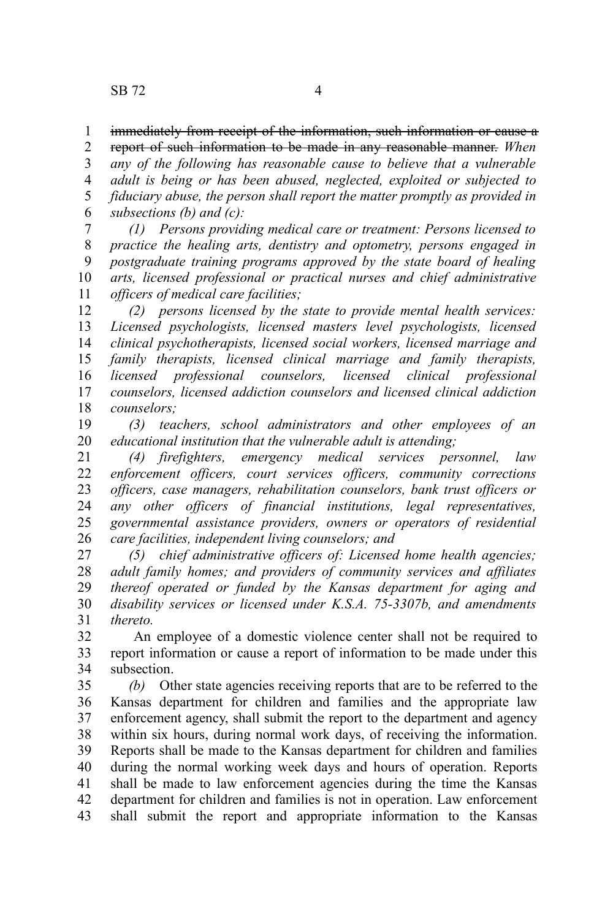## immediately from receipt of the information, such information or cause a 1

report of such information to be made in any reasonable manner. *When any of the following has reasonable cause to believe that a vulnerable adult is being or has been abused, neglected, exploited or subjected to fiduciary abuse, the person shall report the matter promptly as provided in subsections (b) and (c):* 2 3 4 5 6

*(1) Persons providing medical care or treatment: Persons licensed to practice the healing arts, dentistry and optometry, persons engaged in postgraduate training programs approved by the state board of healing arts, licensed professional or practical nurses and chief administrative officers of medical care facilities;* 7 8 9 10 11

*(2) persons licensed by the state to provide mental health services: Licensed psychologists, licensed masters level psychologists, licensed clinical psychotherapists, licensed social workers, licensed marriage and family therapists, licensed clinical marriage and family therapists, licensed professional counselors, licensed clinical professional counselors, licensed addiction counselors and licensed clinical addiction counselors;* 12 13 14 15 16 17 18

*(3) teachers, school administrators and other employees of an educational institution that the vulnerable adult is attending;* 19 20

*(4) firefighters, emergency medical services personnel, law enforcement officers, court services officers, community corrections officers, case managers, rehabilitation counselors, bank trust officers or any other officers of financial institutions, legal representatives, governmental assistance providers, owners or operators of residential care facilities, independent living counselors; and*  21 22 23 24 25 26

*(5) chief administrative officers of: Licensed home health agencies; adult family homes; and providers of community services and affiliates thereof operated or funded by the Kansas department for aging and disability services or licensed under K.S.A. 75-3307b, and amendments thereto.* 27 28 29 30 31

 An employee of a domestic violence center shall not be required to report information or cause a report of information to be made under this subsection. 32 33 34

*(b)* Other state agencies receiving reports that are to be referred to the Kansas department for children and families and the appropriate law enforcement agency, shall submit the report to the department and agency within six hours, during normal work days, of receiving the information. Reports shall be made to the Kansas department for children and families during the normal working week days and hours of operation. Reports shall be made to law enforcement agencies during the time the Kansas department for children and families is not in operation. Law enforcement shall submit the report and appropriate information to the Kansas 35 36 37 38 39 40 41 42 43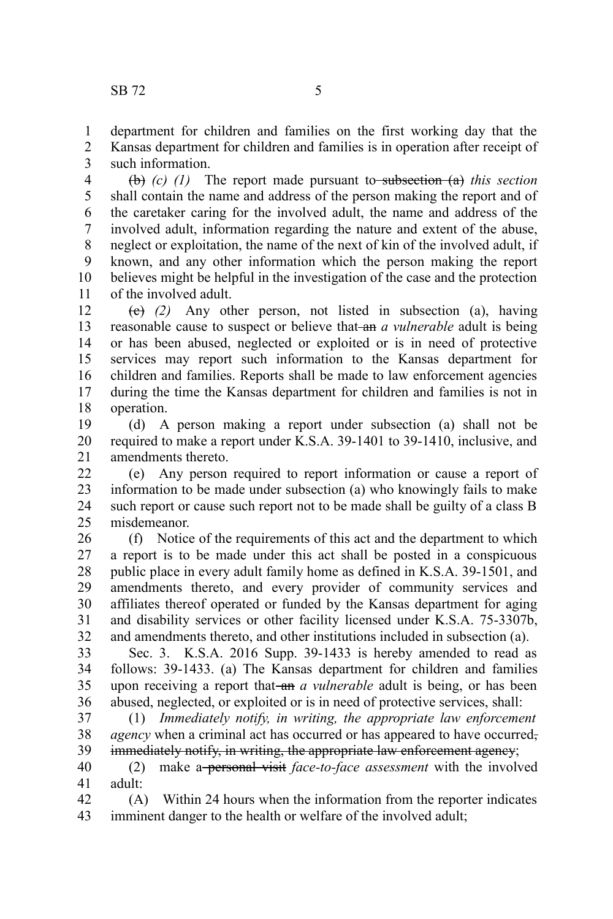department for children and families on the first working day that the 1

Kansas department for children and families is in operation after receipt of such information. 2 3

(b) *(c) (1)* The report made pursuant to subsection (a) *this section* shall contain the name and address of the person making the report and of the caretaker caring for the involved adult, the name and address of the involved adult, information regarding the nature and extent of the abuse, neglect or exploitation, the name of the next of kin of the involved adult, if known, and any other information which the person making the report believes might be helpful in the investigation of the case and the protection of the involved adult. 4 5 6 7 8 9 10 11

(c) *(2)* Any other person, not listed in subsection (a), having reasonable cause to suspect or believe that an *a vulnerable* adult is being or has been abused, neglected or exploited or is in need of protective services may report such information to the Kansas department for children and families. Reports shall be made to law enforcement agencies during the time the Kansas department for children and families is not in operation. 12 13 14 15 16 17 18

(d) A person making a report under subsection (a) shall not be required to make a report under K.S.A. 39-1401 to 39-1410, inclusive, and amendments thereto. 19 20 21

(e) Any person required to report information or cause a report of information to be made under subsection (a) who knowingly fails to make such report or cause such report not to be made shall be guilty of a class B misdemeanor. 22 23 24 25

(f) Notice of the requirements of this act and the department to which a report is to be made under this act shall be posted in a conspicuous public place in every adult family home as defined in K.S.A. 39-1501, and amendments thereto, and every provider of community services and affiliates thereof operated or funded by the Kansas department for aging and disability services or other facility licensed under K.S.A. 75-3307b, and amendments thereto, and other institutions included in subsection (a). 26 27 28 29 30 31 32

Sec. 3. K.S.A. 2016 Supp. 39-1433 is hereby amended to read as follows: 39-1433. (a) The Kansas department for children and families upon receiving a report that-an *a vulnerable* adult is being, or has been abused, neglected, or exploited or is in need of protective services, shall: 33 34 35 36

(1) *Immediately notify, in writing, the appropriate law enforcement agency* when a criminal act has occurred or has appeared to have occurred, immediately notify, in writing, the appropriate law enforcement agency; 37 38 39

(2) make a personal visit *face-to-face assessment* with the involved adult: 40 41

(A) Within 24 hours when the information from the reporter indicates imminent danger to the health or welfare of the involved adult; 42 43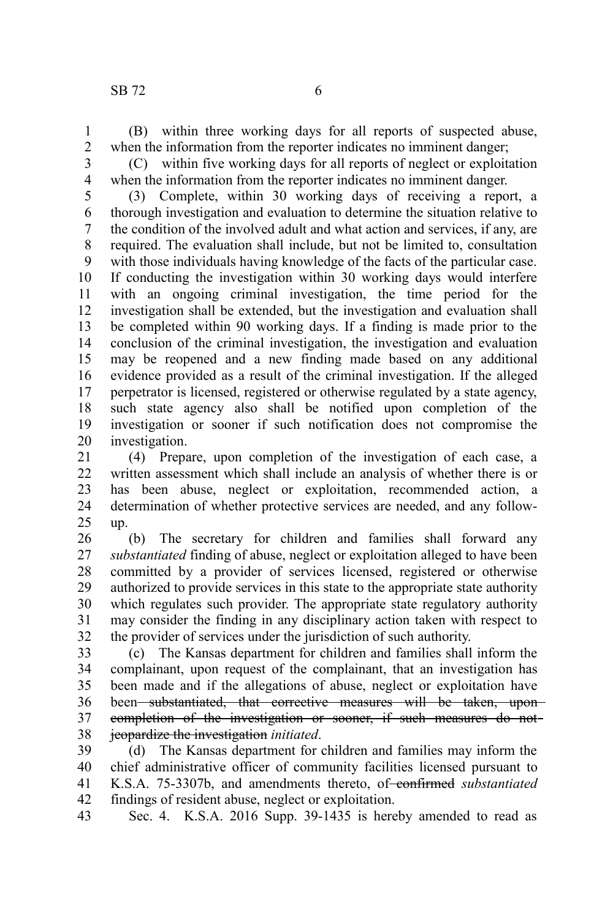(B) within three working days for all reports of suspected abuse, when the information from the reporter indicates no imminent danger; 1 2

3 4

(C) within five working days for all reports of neglect or exploitation when the information from the reporter indicates no imminent danger.

(3) Complete, within 30 working days of receiving a report, a thorough investigation and evaluation to determine the situation relative to the condition of the involved adult and what action and services, if any, are required. The evaluation shall include, but not be limited to, consultation with those individuals having knowledge of the facts of the particular case. If conducting the investigation within 30 working days would interfere with an ongoing criminal investigation, the time period for the investigation shall be extended, but the investigation and evaluation shall be completed within 90 working days. If a finding is made prior to the conclusion of the criminal investigation, the investigation and evaluation may be reopened and a new finding made based on any additional evidence provided as a result of the criminal investigation. If the alleged perpetrator is licensed, registered or otherwise regulated by a state agency, such state agency also shall be notified upon completion of the investigation or sooner if such notification does not compromise the investigation. 5 6 7 8 9 10 11 12 13 14 15 16 17 18 19 20

(4) Prepare, upon completion of the investigation of each case, a written assessment which shall include an analysis of whether there is or has been abuse, neglect or exploitation, recommended action, a determination of whether protective services are needed, and any followup. 21 22 23 24 25

(b) The secretary for children and families shall forward any *substantiated* finding of abuse, neglect or exploitation alleged to have been committed by a provider of services licensed, registered or otherwise authorized to provide services in this state to the appropriate state authority which regulates such provider. The appropriate state regulatory authority may consider the finding in any disciplinary action taken with respect to the provider of services under the jurisdiction of such authority. 26 27 28 29 30 31 32

(c) The Kansas department for children and families shall inform the complainant, upon request of the complainant, that an investigation has been made and if the allegations of abuse, neglect or exploitation have been substantiated, that corrective measures will be taken, uponcompletion of the investigation or sooner, if such measures do not jeopardize the investigation *initiated*. 33 34 35 36 37 38

(d) The Kansas department for children and families may inform the chief administrative officer of community facilities licensed pursuant to K.S.A. 75-3307b, and amendments thereto, of-confirmed *substantiated* findings of resident abuse, neglect or exploitation. 39 40 41 42

Sec. 4. K.S.A. 2016 Supp. 39-1435 is hereby amended to read as 43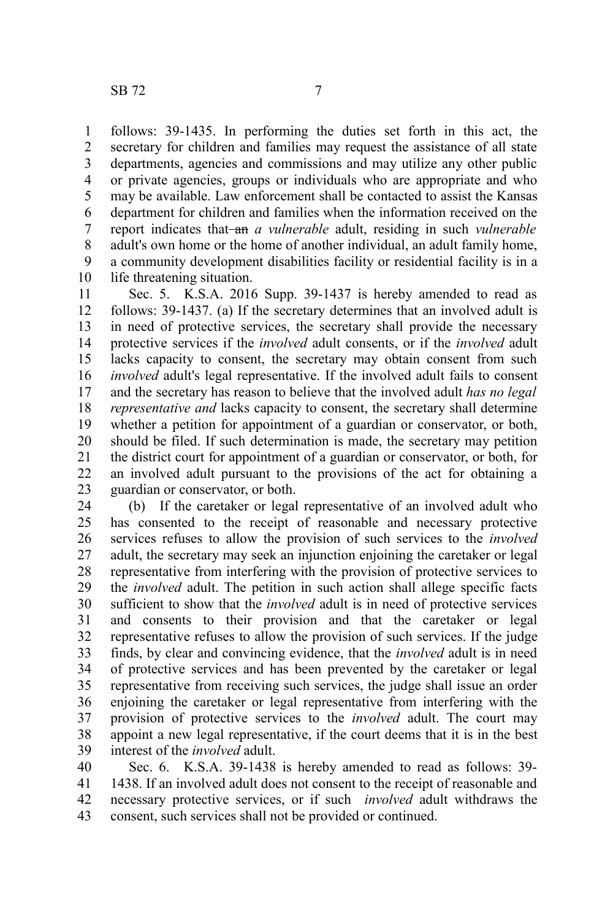follows: 39-1435. In performing the duties set forth in this act, the secretary for children and families may request the assistance of all state departments, agencies and commissions and may utilize any other public or private agencies, groups or individuals who are appropriate and who may be available. Law enforcement shall be contacted to assist the Kansas department for children and families when the information received on the report indicates that-an *a vulnerable* adult, residing in such *vulnerable* adult's own home or the home of another individual, an adult family home, a community development disabilities facility or residential facility is in a life threatening situation. 1 2 3 4 5 6 7 8 9 10

Sec. 5. K.S.A. 2016 Supp. 39-1437 is hereby amended to read as follows: 39-1437. (a) If the secretary determines that an involved adult is in need of protective services, the secretary shall provide the necessary protective services if the *involved* adult consents, or if the *involved* adult lacks capacity to consent, the secretary may obtain consent from such *involved* adult's legal representative. If the involved adult fails to consent and the secretary has reason to believe that the involved adult *has no legal representative and* lacks capacity to consent, the secretary shall determine whether a petition for appointment of a guardian or conservator, or both, should be filed. If such determination is made, the secretary may petition the district court for appointment of a guardian or conservator, or both, for an involved adult pursuant to the provisions of the act for obtaining a guardian or conservator, or both. 11 12 13 14 15 16 17 18 19 20 21 22 23

(b) If the caretaker or legal representative of an involved adult who has consented to the receipt of reasonable and necessary protective services refuses to allow the provision of such services to the *involved* adult, the secretary may seek an injunction enjoining the caretaker or legal representative from interfering with the provision of protective services to the *involved* adult. The petition in such action shall allege specific facts sufficient to show that the *involved* adult is in need of protective services and consents to their provision and that the caretaker or legal representative refuses to allow the provision of such services. If the judge finds, by clear and convincing evidence, that the *involved* adult is in need of protective services and has been prevented by the caretaker or legal representative from receiving such services, the judge shall issue an order enjoining the caretaker or legal representative from interfering with the provision of protective services to the *involved* adult. The court may appoint a new legal representative, if the court deems that it is in the best interest of the *involved* adult. 24 25 26 27 28 29 30 31 32 33 34 35 36 37 38 39

Sec. 6. K.S.A. 39-1438 is hereby amended to read as follows: 39- 1438. If an involved adult does not consent to the receipt of reasonable and necessary protective services, or if such *involved* adult withdraws the consent, such services shall not be provided or continued. 40 41 42 43